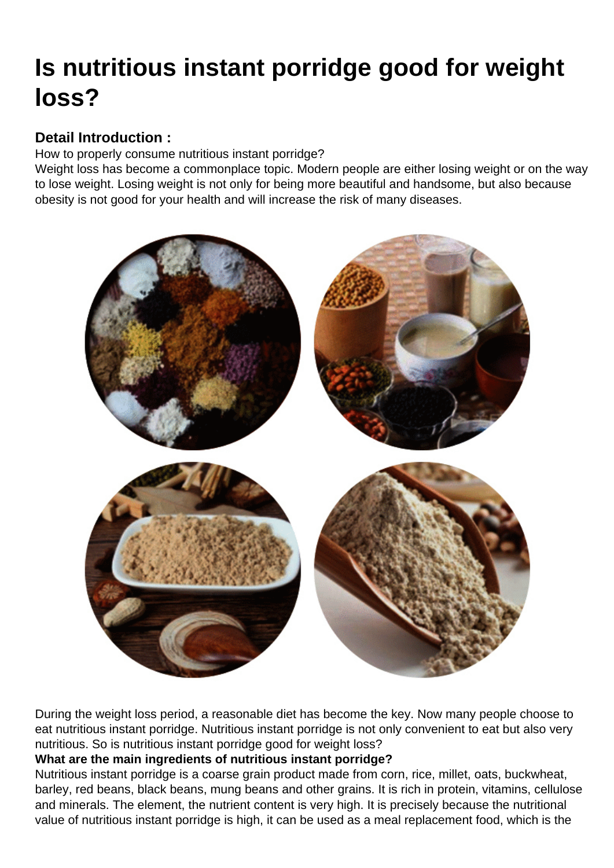## [Is nutritious instant porridge good for weight](https://www.foodmachineryint.com/blog/is-nutritious-instant-porridge-good-for-weight-loss.html) loss?

Detail Introduction :

How to properly consume nutritious instant porridge?

Weight loss has become a commonplace topic. Modern people are either losing weight or on the way to lose weight. Losing weight is not only for being more beautiful and handsome, but also because obesity is not good for your health and will increase the risk of many diseases.

During the weight loss period, a reasonable diet has become the key. Now many people choose to eat nutritious instant porridge. Nutritious instant porridge is not only convenient to eat but also very nutritious. So is nutritious instant porridge good for weight loss?

What are the main ingredients of nutritious instant porridge?

Nutritious instant porridge is a coarse grain product made from corn, rice, millet, oats, buckwheat, barley, red beans, black beans, mung beans and other grains. It is rich in protein, vitamins, cellulose and minerals. The element, the nutrient content is very high. It is precisely because the nutritional value of nutritious instant porridge is high, it can be used as a meal replacement food, which is the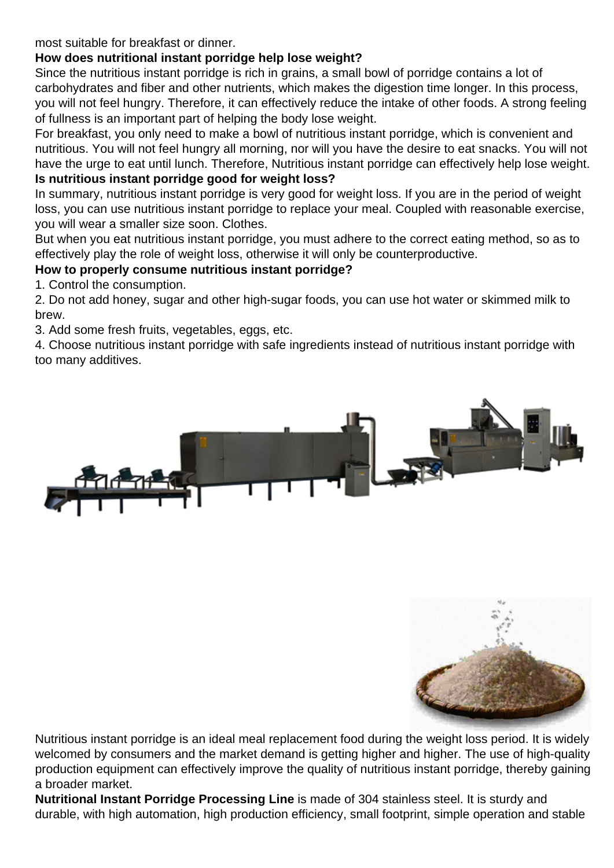most suitable for breakfast or dinner.

How does nutritional instant porridge help lose weight?

Since the nutritious instant porridge is rich in grains, a small bowl of porridge contains a lot of carbohydrates and fiber and other nutrients, which makes the digestion time longer. In this process, you will not feel hungry. Therefore, it can effectively reduce the intake of other foods. A strong feeling of fullness is an important part of helping the body lose weight.

For breakfast, you only need to make a bowl of nutritious instant porridge, which is convenient and nutritious. You will not feel hungry all morning, nor will you have the desire to eat snacks. You will not have the urge to eat until lunch. Therefore, Nutritious instant porridge can effectively help lose weight. Is nutritious instant porridge good for weight loss?

In summary, nutritious instant porridge is very good for weight loss. If you are in the period of weight loss, you can use nutritious instant porridge to replace your meal. Coupled with reasonable exercise, you will wear a smaller size soon. Clothes.

But when you eat nutritious instant porridge, you must adhere to the correct eating method, so as to effectively play the role of weight loss, otherwise it will only be counterproductive.

How to properly consume nutritious instant porridge?

1. Control the consumption.

2. Do not add honey, sugar and other high-sugar foods, you can use hot water or skimmed milk to brew.

3. Add some fresh fruits, vegetables, eggs, etc.

4. Choose nutritious instant porridge with safe ingredients instead of nutritious instant porridge with too many additives.

Nutritious instant porridge is an ideal meal replacement food during the weight loss period. It is widely welcomed by consumers and the market demand is getting higher and higher. The use of high-quality production equipment can effectively improve the quality of nutritious instant porridge, thereby gaining a broader market.

[Nutritional Instant Porridge Processing Line](https://www.foodmachineryint.com/baby-food-production-line/7-55kw-power-nutritional-instant-porridge-processing-line-food-machineryfor-rice-powder.html) is made of 304 stainless steel. It is sturdy and durable, with high automation, high production efficiency, small footprint, simple operation and stable